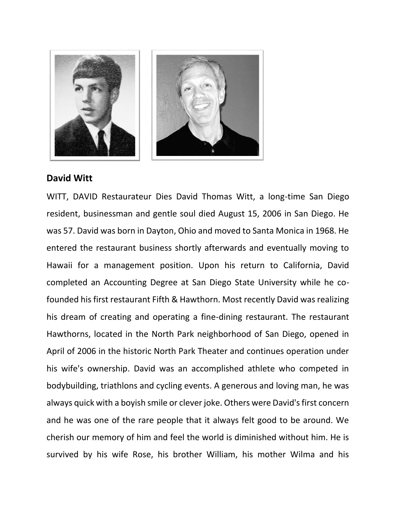

## **David Witt**

WITT, DAVID Restaurateur Dies David Thomas Witt, a long-time San Diego resident, businessman and gentle soul died August 15, 2006 in San Diego. He was 57. David was born in Dayton, Ohio and moved to Santa Monica in 1968. He entered the restaurant business shortly afterwards and eventually moving to Hawaii for a management position. Upon his return to California, David completed an Accounting Degree at San Diego State University while he cofounded his first restaurant Fifth & Hawthorn. Most recently David was realizing his dream of creating and operating a fine-dining restaurant. The restaurant Hawthorns, located in the North Park neighborhood of San Diego, opened in April of 2006 in the historic North Park Theater and continues operation under his wife's ownership. David was an accomplished athlete who competed in bodybuilding, triathlons and cycling events. A generous and loving man, he was always quick with a boyish smile or clever joke. Others were David's first concern and he was one of the rare people that it always felt good to be around. We cherish our memory of him and feel the world is diminished without him. He is survived by his wife Rose, his brother William, his mother Wilma and his